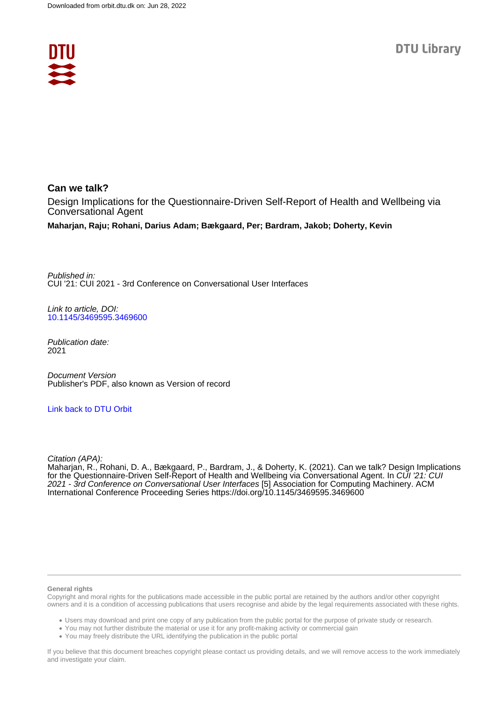

**Can we talk?** Design Implications for the Questionnaire-Driven Self-Report of Health and Wellbeing via Conversational Agent

**Maharjan, Raju; Rohani, Darius Adam; Bækgaard, Per; Bardram, Jakob; Doherty, Kevin**

Published in: CUI '21: CUI 2021 - 3rd Conference on Conversational User Interfaces

Link to article, DOI: [10.1145/3469595.3469600](https://doi.org/10.1145/3469595.3469600)

Publication date: 2021

Document Version Publisher's PDF, also known as Version of record

[Link back to DTU Orbit](https://orbit.dtu.dk/en/publications/b2f14dfa-ca92-4aed-a318-c99c344f4162)

Citation (APA):

Maharjan, R., Rohani, D. A., Bækgaard, P., Bardram, J., & Doherty, K. (2021). Can we talk? Design Implications for the Questionnaire-Driven Self-Report of Health and Wellbeing via Conversational Agent. In CUI '21: CUI 2021 - 3rd Conference on Conversational User Interfaces [5] Association for Computing Machinery. ACM International Conference Proceeding Series <https://doi.org/10.1145/3469595.3469600>

#### **General rights**

Copyright and moral rights for the publications made accessible in the public portal are retained by the authors and/or other copyright owners and it is a condition of accessing publications that users recognise and abide by the legal requirements associated with these rights.

Users may download and print one copy of any publication from the public portal for the purpose of private study or research.

- You may not further distribute the material or use it for any profit-making activity or commercial gain
- You may freely distribute the URL identifying the publication in the public portal

If you believe that this document breaches copyright please contact us providing details, and we will remove access to the work immediately and investigate your claim.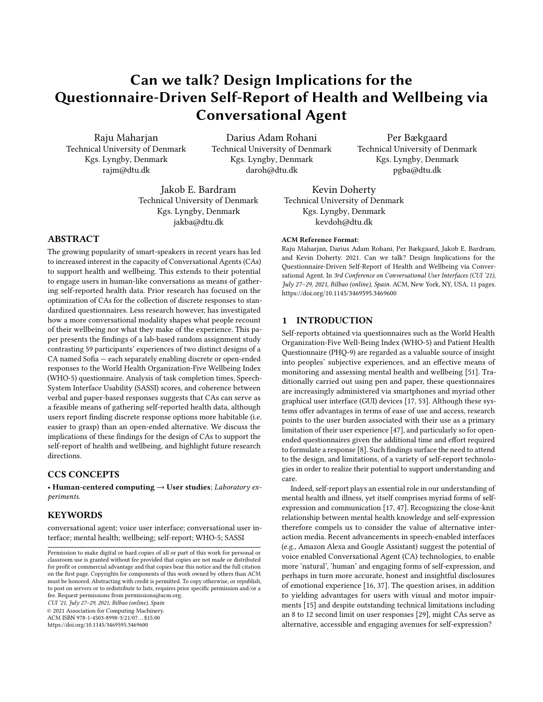# Can we talk? Design Implications for the Questionnaire-Driven Self-Report of Health and Wellbeing via Conversational Agent

Raju Maharjan Technical University of Denmark Kgs. Lyngby, Denmark rajm@dtu.dk

Darius Adam Rohani Technical University of Denmark Kgs. Lyngby, Denmark daroh@dtu.dk

Per Bækgaard Technical University of Denmark Kgs. Lyngby, Denmark pgba@dtu.dk

Jakob E. Bardram Technical University of Denmark Kgs. Lyngby, Denmark jakba@dtu.dk

## ABSTRACT

The growing popularity of smart-speakers in recent years has led to increased interest in the capacity of Conversational Agents (CAs) to support health and wellbeing. This extends to their potential to engage users in human-like conversations as means of gathering self-reported health data. Prior research has focused on the optimization of CAs for the collection of discrete responses to standardized questionnaires. Less research however, has investigated how a more conversational modality shapes what people recount of their wellbeing nor what they make of the experience. This paper presents the findings of a lab-based random assignment study contrasting 59 participants' experiences of two distinct designs of a CA named Sofia — each separately enabling discrete or open-ended responses to the World Health Organization-Five Wellbeing Index (WHO-5) questionnaire. Analysis of task completion times, Speech-System Interface Usability (SASSI) scores, and coherence between verbal and paper-based responses suggests that CAs can serve as a feasible means of gathering self-reported health data, although users report finding discrete response options more habitable (i.e. easier to grasp) than an open-ended alternative. We discuss the implications of these findings for the design of CAs to support the self-report of health and wellbeing, and highlight future research directions.

## CCS CONCEPTS

• Human-centered computing → User studies; Laboratory experiments.

#### KEYWORDS

conversational agent; voice user interface; conversational user interface; mental health; wellbeing; self-report; WHO-5; SASSI

CUI '21, July 27–29, 2021, Bilbao (online), Spain

© 2021 Association for Computing Machinery.

ACM ISBN 978-1-4503-8998-3/21/07. . . \$15.00

<https://doi.org/10.1145/3469595.3469600>

Kevin Doherty Technical University of Denmark Kgs. Lyngby, Denmark kevdoh@dtu.dk

#### ACM Reference Format:

Raju Maharjan, Darius Adam Rohani, Per Bækgaard, Jakob E. Bardram, and Kevin Doherty. 2021. Can we talk? Design Implications for the Questionnaire-Driven Self-Report of Health and Wellbeing via Conversational Agent. In 3rd Conference on Conversational User Interfaces (CUI '21), July 27–29, 2021, Bilbao (online), Spain. ACM, New York, NY, USA, [11](#page-11-0) pages. <https://doi.org/10.1145/3469595.3469600>

## 1 INTRODUCTION

Self-reports obtained via questionnaires such as the World Health Organization-Five Well-Being Index (WHO-5) and Patient Health Questionnaire (PHQ-9) are regarded as a valuable source of insight into peoples' subjective experiences, and an effective means of monitoring and assessing mental health and wellbeing [\[51\]](#page-11-1). Traditionally carried out using pen and paper, these questionnaires are increasingly administered via smartphones and myriad other graphical user interface (GUI) devices [\[17,](#page-11-2) [53\]](#page-11-3). Although these systems offer advantages in terms of ease of use and access, research points to the user burden associated with their use as a primary limitation of their user experience [\[47\]](#page-11-4), and particularly so for openended questionnaires given the additional time and effort required to formulate a response [\[8\]](#page-10-0). Such findings surface the need to attend to the design, and limitations, of a variety of self-report technologies in order to realize their potential to support understanding and care.

Indeed, self-report plays an essential role in our understanding of mental health and illness, yet itself comprises myriad forms of selfexpression and communication [\[17,](#page-11-2) [47\]](#page-11-4). Recognizing the close-knit relationship between mental health knowledge and self-expression therefore compels us to consider the value of alternative interaction media. Recent advancements in speech-enabled interfaces (e.g., Amazon Alexa and Google Assistant) suggest the potential of voice enabled Conversational Agent (CA) technologies, to enable more 'natural', 'human' and engaging forms of self-expression, and perhaps in turn more accurate, honest and insightful disclosures of emotional experience [\[16,](#page-11-5) [37\]](#page-11-6). The question arises, in addition to yielding advantages for users with visual and motor impairments [\[15\]](#page-11-7) and despite outstanding technical limitations including an 8 to 12 second limit on user responses [\[29\]](#page-11-8), might CAs serve as alternative, accessible and engaging avenues for self-expression?

Permission to make digital or hard copies of all or part of this work for personal or classroom use is granted without fee provided that copies are not made or distributed for profit or commercial advantage and that copies bear this notice and the full citation on the first page. Copyrights for components of this work owned by others than ACM must be honored. Abstracting with credit is permitted. To copy otherwise, or republish, to post on servers or to redistribute to lists, requires prior specific permission and/or a fee. Request permissions from permissions@acm.org.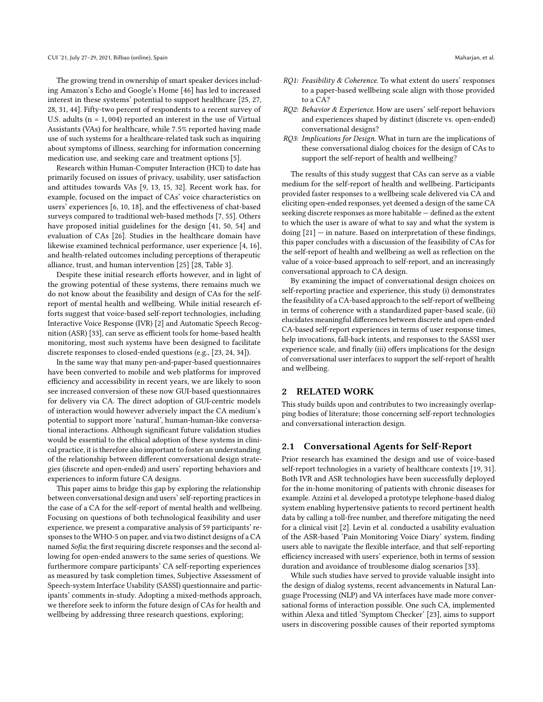The growing trend in ownership of smart speaker devices including Amazon's Echo and Google's Home [\[46\]](#page-11-9) has led to increased interest in these systems' potential to support healthcare [\[25,](#page-11-10) [27,](#page-11-11) [28,](#page-11-12) [31,](#page-11-13) [44\]](#page-11-14). Fifty-two percent of respondents to a recent survey of U.S. adults ( $n = 1,004$ ) reported an interest in the use of Virtual Assistants (VAs) for healthcare, while <sup>7</sup>.5% reported having made use of such systems for a healthcare-related task such as inquiring about symptoms of illness, searching for information concerning medication use, and seeking care and treatment options [\[5\]](#page-10-1).

Research within Human-Computer Interaction (HCI) to date has primarily focused on issues of privacy, usability, user satisfaction and attitudes towards VAs [\[9,](#page-10-2) [13,](#page-11-15) [15,](#page-11-7) [32\]](#page-11-16). Recent work has, for example, focused on the impact of CAs' voice characteristics on users' experiences [\[6,](#page-10-3) [10,](#page-10-4) [18\]](#page-11-17), and the effectiveness of chat-based surveys compared to traditional web-based methods [\[7,](#page-10-5) [55\]](#page-11-18). Others have proposed initial guidelines for the design [\[41,](#page-11-19) [50,](#page-11-20) [54\]](#page-11-21) and evaluation of CAs [\[26\]](#page-11-22). Studies in the healthcare domain have likewise examined technical performance, user experience [\[4,](#page-10-6) [16\]](#page-11-5), and health-related outcomes including perceptions of therapeutic alliance, trust, and human intervention [\[25\]](#page-11-10) [\[28,](#page-11-12) Table 3].

Despite these initial research efforts however, and in light of the growing potential of these systems, there remains much we do not know about the feasibility and design of CAs for the selfreport of mental health and wellbeing. While initial research efforts suggest that voice-based self-report technologies, including Interactive Voice Response (IVR) [\[2\]](#page-10-7) and Automatic Speech Recognition (ASR) [\[33\]](#page-11-23), can serve as efficient tools for home-based health monitoring, most such systems have been designed to facilitate discrete responses to closed-ended questions (e.g., [\[23,](#page-11-24) [24,](#page-11-25) [34\]](#page-11-26)).

In the same way that many pen-and-paper-based questionnaires have been converted to mobile and web platforms for improved efficiency and accessibility in recent years, we are likely to soon see increased conversion of these now GUI-based questionnaires for delivery via CA. The direct adoption of GUI-centric models of interaction would however adversely impact the CA medium's potential to support more 'natural', human-human-like conversational interactions. Although significant future validation studies would be essential to the ethical adoption of these systems in clinical practice, it is therefore also important to foster an understanding of the relationship between different conversational design strategies (discrete and open-ended) and users' reporting behaviors and experiences to inform future CA designs.

This paper aims to bridge this gap by exploring the relationship between conversational design and users' self-reporting practices in the case of a CA for the self-report of mental health and wellbeing. Focusing on questions of both technological feasibility and user experience, we present a comparative analysis of 59 participants' responses to the WHO-5 on paper, and via two distinct designs of a CA named Sofia; the first requiring discrete responses and the second allowing for open-ended answers to the same series of questions. We furthermore compare participants' CA self-reporting experiences as measured by task completion times, Subjective Assessment of Speech-system Interface Usability (SASSI) questionnaire and participants' comments in-study. Adopting a mixed-methods approach, we therefore seek to inform the future design of CAs for health and wellbeing by addressing three research questions, exploring;

- RQ1: Feasibility & Coherence. To what extent do users' responses to a paper-based wellbeing scale align with those provided to a CA?
- RQ2: Behavior & Experience. How are users' self-report behaviors and experiences shaped by distinct (discrete vs. open-ended) conversational designs?
- RQ3: Implications for Design. What in turn are the implications of these conversational dialog choices for the design of CAs to support the self-report of health and wellbeing?

The results of this study suggest that CAs can serve as a viable medium for the self-report of health and wellbeing. Participants provided faster responses to a wellbeing scale delivered via CA and eliciting open-ended responses, yet deemed a design of the same CA seeking discrete responses as more habitable — defined as the extent to which the user is aware of what to say and what the system is doing [\[21\]](#page-11-27) — in nature. Based on interpretation of these findings, this paper concludes with a discussion of the feasibility of CAs for the self-report of health and wellbeing as well as reflection on the value of a voice-based approach to self-report, and an increasingly conversational approach to CA design.

By examining the impact of conversational design choices on self-reporting practice and experience, this study (i) demonstrates the feasibility of a CA-based approach to the self-report of wellbeing in terms of coherence with a standardized paper-based scale, (ii) elucidates meaningful differences between discrete and open-ended CA-based self-report experiences in terms of user response times, help invocations, fall-back intents, and responses to the SASSI user experience scale, and finally (iii) offers implications for the design of conversational user interfaces to support the self-report of health and wellbeing.

### 2 RELATED WORK

This study builds upon and contributes to two increasingly overlapping bodies of literature; those concerning self-report technologies and conversational interaction design.

#### 2.1 Conversational Agents for Self-Report

Prior research has examined the design and use of voice-based self-report technologies in a variety of healthcare contexts [\[19,](#page-11-28) [31\]](#page-11-13). Both IVR and ASR technologies have been successfully deployed for the in-home monitoring of patients with chronic diseases for example. Azzini et al. developed a prototype telephone-based dialog system enabling hypertensive patients to record pertinent health data by calling a toll-free number, and therefore mitigating the need for a clinical visit [\[2\]](#page-10-7). Levin et al. conducted a usability evaluation of the ASR-based 'Pain Monitoring Voice Diary' system, finding users able to navigate the flexible interface, and that self-reporting efficiency increased with users' experience, both in terms of session duration and avoidance of troublesome dialog scenarios [\[33\]](#page-11-23).

While such studies have served to provide valuable insight into the design of dialog systems, recent advancements in Natural Language Processing (NLP) and VA interfaces have made more conversational forms of interaction possible. One such CA, implemented within Alexa and titled 'Symptom Checker' [\[23\]](#page-11-24), aims to support users in discovering possible causes of their reported symptoms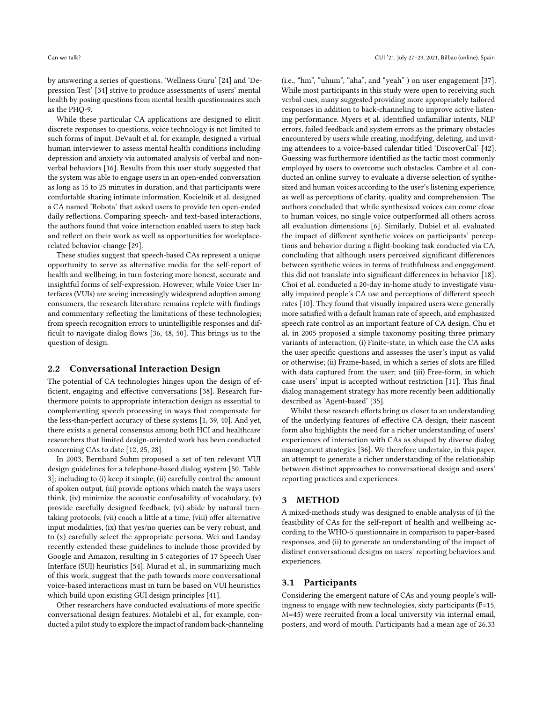by answering a series of questions. 'Wellness Guru' [\[24\]](#page-11-25) and 'Depression Test' [\[34\]](#page-11-26) strive to produce assessments of users' mental health by posing questions from mental health questionnaires such as the PHQ-9.

While these particular CA applications are designed to elicit discrete responses to questions, voice technology is not limited to such forms of input. DeVault et al. for example, designed a virtual human interviewer to assess mental health conditions including depression and anxiety via automated analysis of verbal and nonverbal behaviors [\[16\]](#page-11-5). Results from this user study suggested that the system was able to engage users in an open-ended conversation as long as 15 to 25 minutes in duration, and that participants were comfortable sharing intimate information. Kocielnik et al. designed a CA named 'Robota' that asked users to provide ten open-ended daily reflections. Comparing speech- and text-based interactions, the authors found that voice interaction enabled users to step back and reflect on their work as well as opportunities for workplacerelated behavior-change [\[29\]](#page-11-8).

These studies suggest that speech-based CAs represent a unique opportunity to serve as alternative media for the self-report of health and wellbeing, in turn fostering more honest, accurate and insightful forms of self-expression. However, while Voice User Interfaces (VUIs) are seeing increasingly widespread adoption among consumers, the research literature remains replete with findings and commentary reflecting the limitations of these technologies; from speech recognition errors to unintelligible responses and difficult to navigate dialog flows [\[36,](#page-11-29) [48,](#page-11-30) [50\]](#page-11-20). This brings us to the question of design.

#### 2.2 Conversational Interaction Design

The potential of CA technologies hinges upon the design of efficient, engaging and effective conversations [\[38\]](#page-11-31). Research furthermore points to appropriate interaction design as essential to complementing speech processing in ways that compensate for the less-than-perfect accuracy of these systems [\[1,](#page-10-8) [39,](#page-11-32) [40\]](#page-11-33). And yet, there exists a general consensus among both HCI and healthcare researchers that limited design-oriented work has been conducted concerning CAs to date [\[12,](#page-11-34) [25,](#page-11-10) [28\]](#page-11-12).

In 2003, Bernhard Suhm proposed a set of ten relevant VUI design guidelines for a telephone-based dialog system [\[50,](#page-11-20) Table 3]; including to (i) keep it simple, (ii) carefully control the amount of spoken output, (iii) provide options which match the ways users think, (iv) minimize the acoustic confusability of vocabulary, (v) provide carefully designed feedback, (vi) abide by natural turntaking protocols, (vii) coach a little at a time, (viii) offer alternative input modalities, (ix) that yes/no queries can be very robust, and to (x) carefully select the appropriate persona. Wei and Landay recently extended these guidelines to include those provided by Google and Amazon, resulting in 5 categories of 17 Speech User Interface (SUI) heuristics [\[54\]](#page-11-21). Murad et al., in summarizing much of this work, suggest that the path towards more conversational voice-based interactions must in turn be based on VUI heuristics which build upon existing GUI design principles [\[41\]](#page-11-19).

Other researchers have conducted evaluations of more specific conversational design features. Motalebi et al., for example, conducted a pilot study to explore the impact of random back-channeling

(i.e., "hm", "uhum", "aha", and "yeah" ) on user engagement [\[37\]](#page-11-6). While most participants in this study were open to receiving such verbal cues, many suggested providing more appropriately tailored responses in addition to back-channeling to improve active listening performance. Myers et al. identified unfamiliar intents, NLP errors, failed feedback and system errors as the primary obstacles encountered by users while creating, modifying, deleting, and inviting attendees to a voice-based calendar titled 'DiscoverCal' [\[42\]](#page-11-35). Guessing was furthermore identified as the tactic most commonly employed by users to overcome such obstacles. Cambre et al. conducted an online survey to evaluate a diverse selection of synthesized and human voices according to the user's listening experience, as well as perceptions of clarity, quality and comprehension. The authors concluded that while synthesized voices can come close to human voices, no single voice outperformed all others across all evaluation dimensions [\[6\]](#page-10-3). Similarly, Dubiel et al. evaluated the impact of different synthetic voices on participants' perceptions and behavior during a flight-booking task conducted via CA, concluding that although users perceived significant differences between synthetic voices in terms of truthfulness and engagement, this did not translate into significant differences in behavior [\[18\]](#page-11-17). Choi et al. conducted a 20-day in-home study to investigate visually impaired people's CA use and perceptions of different speech rates [\[10\]](#page-10-4). They found that visually impaired users were generally more satisfied with a default human rate of speech, and emphasized speech rate control as an important feature of CA design. Chu et al. in 2005 proposed a simple taxonomy positing three primary variants of interaction; (i) Finite-state, in which case the CA asks the user specific questions and assesses the user's input as valid or otherwise; (ii) Frame-based, in which a series of slots are filled with data captured from the user; and (iii) Free-form, in which case users' input is accepted without restriction [\[11\]](#page-10-9). This final dialog management strategy has more recently been additionally described as 'Agent-based' [\[35\]](#page-11-36).

Whilst these research efforts bring us closer to an understanding of the underlying features of effective CA design, their nascent form also highlights the need for a richer understanding of users' experiences of interaction with CAs as shaped by diverse dialog management strategies [\[36\]](#page-11-29). We therefore undertake, in this paper, an attempt to generate a richer understanding of the relationship between distinct approaches to conversational design and users' reporting practices and experiences.

#### 3 METHOD

A mixed-methods study was designed to enable analysis of (i) the feasibility of CAs for the self-report of health and wellbeing according to the WHO-5 questionnaire in comparison to paper-based responses, and (ii) to generate an understanding of the impact of distinct conversational designs on users' reporting behaviors and experiences.

#### 3.1 Participants

Considering the emergent nature of CAs and young people's willingness to engage with new technologies, sixty participants (F=15, M=45) were recruited from a local university via internal email, posters, and word of mouth. Participants had a mean age of 26.33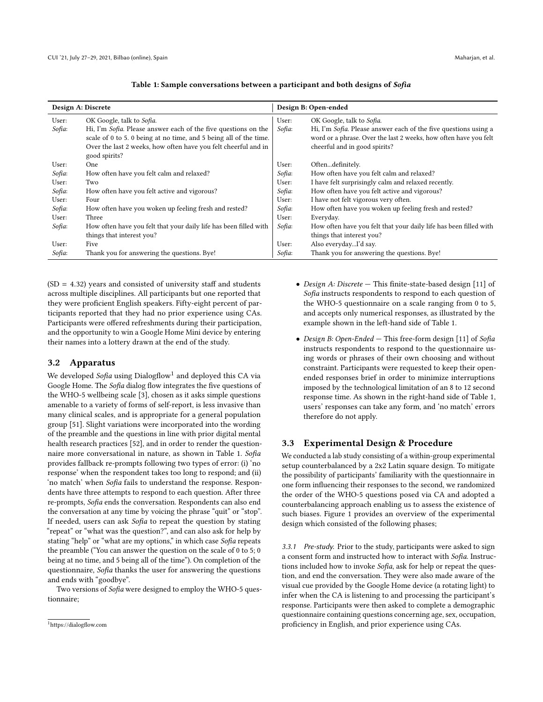<span id="page-4-1"></span>

| Design A: Discrete |                                                                   | Design B: Open-ended |                                                                         |
|--------------------|-------------------------------------------------------------------|----------------------|-------------------------------------------------------------------------|
| User:              | OK Google, talk to Sofia.                                         | User:                | OK Google, talk to Sofia.                                               |
| Sofia:             | Hi, I'm Sofia. Please answer each of the five questions on the    | Sofia:               | Hi, I'm <i>Sofia</i> . Please answer each of the five questions using a |
|                    | scale of 0 to 5.0 being at no time, and 5 being all of the time.  |                      | word or a phrase. Over the last 2 weeks, how often have you felt        |
|                    | Over the last 2 weeks, how often have you felt cheerful and in    |                      | cheerful and in good spirits?                                           |
|                    | good spirits?                                                     |                      |                                                                         |
| User:              | One                                                               | User:                | Oftendefinitely.                                                        |
| Sofia:             | How often have you felt calm and relaxed?                         | Sofia:               | How often have you felt calm and relaxed?                               |
| User:              | Two                                                               | User:                | I have felt surprisingly calm and relaxed recently.                     |
| Sofia:             | How often have you felt active and vigorous?                      | Sofia:               | How often have you felt active and vigorous?                            |
| User:              | Four                                                              | User:                | I have not felt vigorous very often.                                    |
| Sofia:             | How often have you woken up feeling fresh and rested?             | Sofia:               | How often have you woken up feeling fresh and rested?                   |
| User:              | Three                                                             | User:                | Everyday.                                                               |
| Sofia:             | How often have you felt that your daily life has been filled with | Sofia:               | How often have you felt that your daily life has been filled with       |
|                    | things that interest you?                                         |                      | things that interest you?                                               |
| User:              | Five                                                              | User:                | Also everydayI'd say.                                                   |
| Sofia:             | Thank you for answering the questions. Bye!                       | Sofia:               | Thank you for answering the questions. Bye!                             |

#### Table 1: Sample conversations between a participant and both designs of Sofia

 $(SD = 4.32)$  years and consisted of university staff and students across multiple disciplines. All participants but one reported that they were proficient English speakers. Fifty-eight percent of participants reported that they had no prior experience using CAs. Participants were offered refreshments during their participation, and the opportunity to win a Google Home Mini device by entering their names into a lottery drawn at the end of the study.

#### 3.2 Apparatus

We developed *Sofia* using Dialogflow $^1$  $^1$  and deployed this CA via Google Home. The Sofia dialog flow integrates the five questions of the WHO-5 wellbeing scale [\[3\]](#page-10-10), chosen as it asks simple questions amenable to a variety of forms of self-report, is less invasive than many clinical scales, and is appropriate for a general population group [\[51\]](#page-11-1). Slight variations were incorporated into the wording of the preamble and the questions in line with prior digital mental health research practices [\[52\]](#page-11-37), and in order to render the questionnaire more conversational in nature, as shown in Table [1.](#page-4-1) Sofia provides fallback re-prompts following two types of error: (i) 'no response' when the respondent takes too long to respond; and (ii) 'no match' when Sofia fails to understand the response. Respondents have three attempts to respond to each question. After three re-prompts, Sofia ends the conversation. Respondents can also end the conversation at any time by voicing the phrase "quit" or "stop". If needed, users can ask Sofia to repeat the question by stating "repeat" or "what was the question?", and can also ask for help by stating "help" or "what are my options," in which case Sofia repeats the preamble ("You can answer the question on the scale of 0 to 5; 0 being at no time, and 5 being all of the time"). On completion of the questionnaire, Sofia thanks the user for answering the questions and ends with "goodbye".

Two versions of Sofia were designed to employ the WHO-5 questionnaire;

- Design A: Discrete This finite-state-based design [\[11\]](#page-10-9) of Sofia instructs respondents to respond to each question of the WHO-5 questionnaire on a scale ranging from 0 to 5, and accepts only numerical responses, as illustrated by the example shown in the left-hand side of Table [1.](#page-4-1)
- Design B: Open-Ended This free-form design [\[11\]](#page-10-9) of Sofia instructs respondents to respond to the questionnaire using words or phrases of their own choosing and without constraint. Participants were requested to keep their openended responses brief in order to minimize interruptions imposed by the technological limitation of an 8 to 12 second response time. As shown in the right-hand side of Table [1,](#page-4-1) users' responses can take any form, and 'no match' errors therefore do not apply.

## 3.3 Experimental Design & Procedure

We conducted a lab study consisting of a within-group experimental setup counterbalanced by a 2x2 Latin square design. To mitigate the possibility of participants' familiarity with the questionnaire in one form influencing their responses to the second, we randomized the order of the WHO-5 questions posed via CA and adopted a counterbalancing approach enabling us to assess the existence of such biases. Figure [1](#page-5-0) provides an overview of the experimental design which consisted of the following phases;

3.3.1 Pre-study. Prior to the study, participants were asked to sign a consent form and instructed how to interact with Sofia. Instructions included how to invoke Sofia, ask for help or repeat the question, and end the conversation. They were also made aware of the visual cue provided by the Google Home device (a rotating light) to infer when the CA is listening to and processing the participant's response. Participants were then asked to complete a demographic questionnaire containing questions concerning age, sex, occupation, proficiency in English, and prior experience using CAs.

<span id="page-4-0"></span><sup>1</sup><https://dialogflow.com>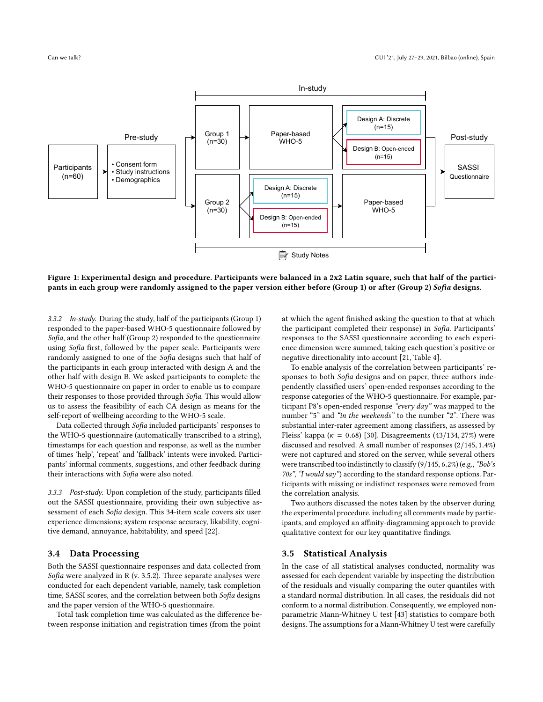<span id="page-5-0"></span>

Figure 1: Experimental design and procedure. Participants were balanced in a 2x2 Latin square, such that half of the participants in each group were randomly assigned to the paper version either before (Group 1) or after (Group 2) Sofia designs.

3.3.2 In-study. During the study, half of the participants (Group 1) responded to the paper-based WHO-5 questionnaire followed by Sofia, and the other half (Group 2) responded to the questionnaire using Sofia first, followed by the paper scale. Participants were randomly assigned to one of the Sofia designs such that half of the participants in each group interacted with design A and the other half with design B. We asked participants to complete the WHO-5 questionnaire on paper in order to enable us to compare their responses to those provided through Sofia. This would allow us to assess the feasibility of each CA design as means for the self-report of wellbeing according to the WHO-5 scale.

Data collected through Sofia included participants' responses to the WHO-5 questionnaire (automatically transcribed to a string), timestamps for each question and response, as well as the number of times 'help', 'repeat' and 'fallback' intents were invoked. Participants' informal comments, suggestions, and other feedback during their interactions with Sofia were also noted.

3.3.3 Post-study. Upon completion of the study, participants filled out the SASSI questionnaire, providing their own subjective assessment of each Sofia design. This 34-item scale covers six user experience dimensions; system response accuracy, likability, cognitive demand, annoyance, habitability, and speed [\[22\]](#page-11-38).

#### 3.4 Data Processing

Both the SASSI questionnaire responses and data collected from Sofia were analyzed in R (v. 3.5.2). Three separate analyses were conducted for each dependent variable, namely, task completion time, SASSI scores, and the correlation between both Sofia designs and the paper version of the WHO-5 questionnaire.

Total task completion time was calculated as the difference between response initiation and registration times (from the point

at which the agent finished asking the question to that at which the participant completed their response) in Sofia. Participants' responses to the SASSI questionnaire according to each experience dimension were summed, taking each question's positive or negative directionality into account [\[21,](#page-11-27) Table 4].

To enable analysis of the correlation between participants' responses to both Sofia designs and on paper, three authors independently classified users' open-ended responses according to the response categories of the WHO-5 questionnaire. For example, participant P8's open-ended response "every day" was mapped to the number "5" and "in the weekends" to the number "2". There was substantial inter-rater agreement among classifiers, as assessed by Fleiss' kappa ( $\kappa = 0.68$ ) [\[30\]](#page-11-39). Disagreements (43/134, 27%) were discussed and resolved. A small number of responses (2/145, <sup>1</sup>.4%) were not captured and stored on the server, while several others were transcribed too indistinctly to classify (9/145, 6.2%) (e.g., "Bob's 70s", "I would say") according to the standard response options. Participants with missing or indistinct responses were removed from the correlation analysis.

Two authors discussed the notes taken by the observer during the experimental procedure, including all comments made by participants, and employed an affinity-diagramming approach to provide qualitative context for our key quantitative findings.

#### 3.5 Statistical Analysis

In the case of all statistical analyses conducted, normality was assessed for each dependent variable by inspecting the distribution of the residuals and visually comparing the outer quantiles with a standard normal distribution. In all cases, the residuals did not conform to a normal distribution. Consequently, we employed nonparametric Mann-Whitney U test [\[43\]](#page-11-40) statistics to compare both designs. The assumptions for a Mann-Whitney U test were carefully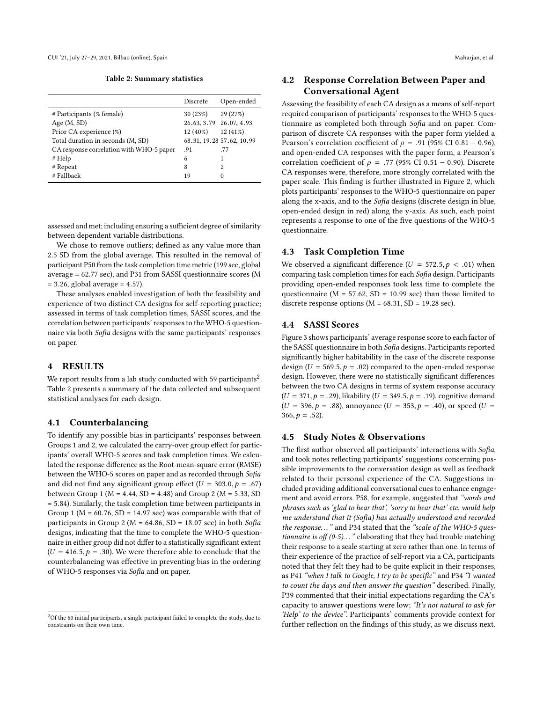Table 2: Summary statistics

<span id="page-6-1"></span>

|                                          | Discrete   | Open-ended                |
|------------------------------------------|------------|---------------------------|
| # Participants (% female)                | 30 (23%)   | 29(27%)                   |
| Age $(M, SD)$                            |            | 26.63, 3.79 26.07, 4.93   |
| Prior CA experience (%)                  | $12(40\%)$ | 12 (41%)                  |
| Total duration in seconds (M, SD)        |            | 68.31, 19.28 57.62, 10.99 |
| CA response correlation with WHO-5 paper | .91        | .77                       |
| # Help                                   | 6          | 1                         |
| # Repeat                                 | 8          | 2                         |
| # Fallback                               | 19         | 0                         |

assessed and met; including ensuring a sufficient degree of similarity between dependent variable distributions.

We chose to remove outliers; defined as any value more than 2.5 SD from the global average. This resulted in the removal of participant P50 from the task completion time metric (199 sec, global average = 62.77 sec), and P31 from SASSI questionnaire scores (M  $= 3.26$ , global average  $= 4.57$ ).

These analyses enabled investigation of both the feasibility and experience of two distinct CA designs for self-reporting practice; assessed in terms of task completion times, SASSI scores, and the correlation between participants' responses to the WHO-5 questionnaire via both Sofia designs with the same participants' responses on paper.

#### 4 RESULTS

We report results from a lab study conducted with 59 participants $^2.$  $^2.$  $^2.$ Table [2](#page-6-1) presents a summary of the data collected and subsequent statistical analyses for each design.

#### 4.1 Counterbalancing

To identify any possible bias in participants' responses between Groups 1 and 2, we calculated the carry-over group effect for participants' overall WHO-5 scores and task completion times. We calculated the response difference as the Root-mean-square error (RMSE) between the WHO-5 scores on paper and as recorded through Sofia and did not find any significant group effect  $(U = 303.0, p = .67)$ between Group 1 ( $M = 4.44$ ,  $SD = 4.48$ ) and Group 2 ( $M = 5.33$ , SD <sup>=</sup> <sup>5</sup>.84). Similarly, the task completion time between participants in Group 1 ( $M = 60.76$ ,  $SD = 14.97$  sec) was comparable with that of participants in Group 2 ( $M = 64.86$ , SD = 18.07 sec) in both Sofia designs, indicating that the time to complete the WHO-5 questionnaire in either group did not differ to a statistically significant extent  $(U = 416.5, p = .30)$ . We were therefore able to conclude that the counterbalancing was effective in preventing bias in the ordering of WHO-5 responses via Sofia and on paper.

# 4.2 Response Correlation Between Paper and Conversational Agent

Assessing the feasibility of each CA design as a means of self-report required comparison of participants' responses to the WHO-5 questionnaire as completed both through Sofia and on paper. Comparison of discrete CA responses with the paper form yielded a Pearson's correlation coefficient of  $\rho = .91$  (95% CI 0.81 – 0.96), and open-ended CA responses with the paper form, a Pearson's correlation coefficient of  $\rho = .77$  (95% CI 0.51 – 0.90). Discrete CA responses were, therefore, more strongly correlated with the paper scale. This finding is further illustrated in Figure [2,](#page-7-0) which plots participants' responses to the WHO-5 questionnaire on paper along the x-axis, and to the Sofia designs (discrete design in blue, open-ended design in red) along the y-axis. As such, each point represents a response to one of the five questions of the WHO-5 questionnaire.

#### 4.3 Task Completion Time

We observed a significant difference ( $U = 572.5, p < .01$ ) when comparing task completion times for each Sofia design. Participants providing open-ended responses took less time to complete the questionnaire ( $M = 57.62$ ,  $SD = 10.99$  sec) than those limited to discrete response options ( $M = 68.31$ ,  $SD = 19.28$  sec).

#### 4.4 SASSI Scores

Figure [3](#page-8-0) shows participants' average response score to each factor of the SASSI questionnaire in both Sofia designs. Participants reported significantly higher habitability in the case of the discrete response design ( $U = 569.5, p = .02$ ) compared to the open-ended response design. However, there were no statistically significant differences between the two CA designs in terms of system response accuracy  $(U = 371, p = .29)$ , likability  $(U = 349.5, p = .19)$ , cognitive demand  $(U = 396, p = .88)$ , annoyance  $(U = 353, p = .40)$ , or speed  $(U = 153, p = .40)$  $366, p = .52$ ).

#### 4.5 Study Notes & Observations

The first author observed all participants' interactions with Sofia, and took notes reflecting participants' suggestions concerning possible improvements to the conversation design as well as feedback related to their personal experience of the CA. Suggestions included providing additional conversational cues to enhance engagement and avoid errors. P58, for example, suggested that "words and phrases such as 'glad to hear that', 'sorry to hear that' etc. would help me understand that it (Sofia) has actually understood and recorded the response..." and P34 stated that the "scale of the WHO-5 questionnaire is off  $(0-5)$ ..." elaborating that they had trouble matching their response to a scale starting at zero rather than one. In terms of their experience of the practice of self-report via a CA, participants noted that they felt they had to be quite explicit in their responses, as P41 "when I talk to Google, I try to be specific" and P34 "I wanted to count the days and then answer the question" described. Finally, P39 commented that their initial expectations regarding the CA's capacity to answer questions were low; "It's not natural to ask for 'Help' to the device". Participants' comments provide context for further reflection on the findings of this study, as we discuss next.

<span id="page-6-0"></span><sup>&</sup>lt;sup>2</sup>Of the 60 initial participants, a single participant failed to complete the study, due to constraints on their own time.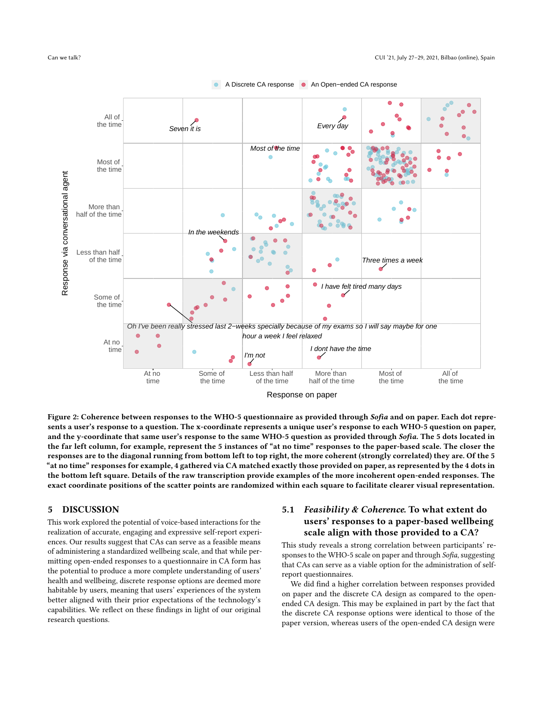<span id="page-7-0"></span>



A Discrete CA response An Open–ended CA response

Figure 2: Coherence between responses to the WHO-5 questionnaire as provided through Sofia and on paper. Each dot represents a user's response to a question. The x-coordinate represents a unique user's response to each WHO-5 question on paper, and the y-coordinate that same user's response to the same WHO-5 question as provided through Sofia. The 5 dots located in the far left column, for example, represent the 5 instances of "at no time" responses to the paper-based scale. The closer the responses are to the diagonal running from bottom left to top right, the more coherent (strongly correlated) they are. Of the 5 "at no time" responses for example, 4 gathered via CA matched exactly those provided on paper, as represented by the 4 dots in the bottom left square. Details of the raw transcription provide examples of the more incoherent open-ended responses. The exact coordinate positions of the scatter points are randomized within each square to facilitate clearer visual representation.

### 5 DISCUSSION

This work explored the potential of voice-based interactions for the realization of accurate, engaging and expressive self-report experiences. Our results suggest that CAs can serve as a feasible means of administering a standardized wellbeing scale, and that while permitting open-ended responses to a questionnaire in CA form has the potential to produce a more complete understanding of users' health and wellbeing, discrete response options are deemed more habitable by users, meaning that users' experiences of the system better aligned with their prior expectations of the technology's capabilities. We reflect on these findings in light of our original research questions.

## 5.1 Feasibility  $& Coherence$ . To what extent do users' responses to a paper-based wellbeing scale align with those provided to a CA?

This study reveals a strong correlation between participants' responses to the WHO-5 scale on paper and through Sofia, suggesting that CAs can serve as a viable option for the administration of selfreport questionnaires.

We did find a higher correlation between responses provided on paper and the discrete CA design as compared to the openended CA design. This may be explained in part by the fact that the discrete CA response options were identical to those of the paper version, whereas users of the open-ended CA design were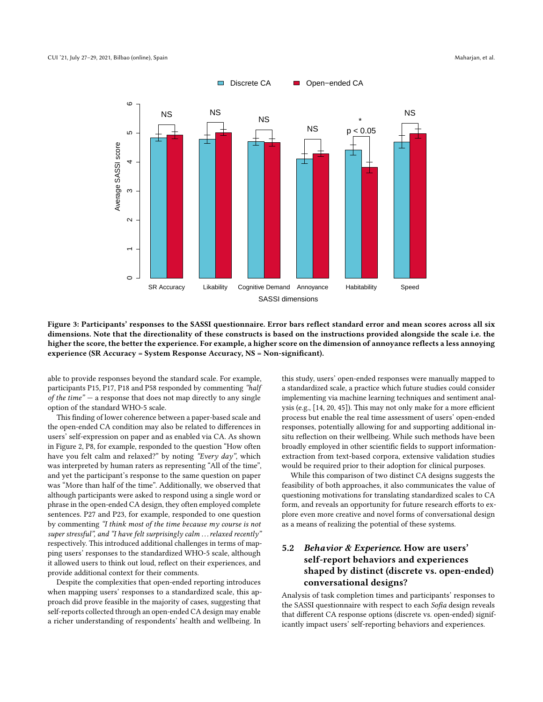<span id="page-8-0"></span>

Figure 3: Participants' responses to the SASSI questionnaire. Error bars reflect standard error and mean scores across all six dimensions. Note that the directionality of these constructs is based on the instructions provided alongside the scale i.e. the higher the score, the better the experience. For example, a higher score on the dimension of annoyance reflects a less annoying experience (SR Accuracy = System Response Accuracy, NS = Non-significant).

able to provide responses beyond the standard scale. For example, participants P15, P17, P18 and P58 responded by commenting "half of the time"  $-$  a response that does not map directly to any single option of the standard WHO-5 scale.

This finding of lower coherence between a paper-based scale and the open-ended CA condition may also be related to differences in users' self-expression on paper and as enabled via CA. As shown in Figure [2,](#page-7-0) P8, for example, responded to the question "How often have you felt calm and relaxed?" by noting "Every day", which was interpreted by human raters as representing "All of the time", and yet the participant's response to the same question on paper was "More than half of the time". Additionally, we observed that although participants were asked to respond using a single word or phrase in the open-ended CA design, they often employed complete sentences. P27 and P23, for example, responded to one question by commenting "I think most of the time because my course is not super stressful", and "I have felt surprisingly calm . . . relaxed recently" respectively. This introduced additional challenges in terms of mapping users' responses to the standardized WHO-5 scale, although it allowed users to think out loud, reflect on their experiences, and provide additional context for their comments.

Despite the complexities that open-ended reporting introduces when mapping users' responses to a standardized scale, this approach did prove feasible in the majority of cases, suggesting that self-reports collected through an open-ended CA design may enable a richer understanding of respondents' health and wellbeing. In

this study, users' open-ended responses were manually mapped to a standardized scale, a practice which future studies could consider implementing via machine learning techniques and sentiment analysis (e.g., [\[14,](#page-11-41) [20,](#page-11-42) [45\]](#page-11-43)). This may not only make for a more efficient process but enable the real time assessment of users' open-ended responses, potentially allowing for and supporting additional insitu reflection on their wellbeing. While such methods have been broadly employed in other scientific fields to support informationextraction from text-based corpora, extensive validation studies would be required prior to their adoption for clinical purposes.

While this comparison of two distinct CA designs suggests the feasibility of both approaches, it also communicates the value of questioning motivations for translating standardized scales to CA form, and reveals an opportunity for future research efforts to explore even more creative and novel forms of conversational design as a means of realizing the potential of these systems.

# 5.2 Behavior & Experience. How are users' self-report behaviors and experiences shaped by distinct (discrete vs. open-ended) conversational designs?

Analysis of task completion times and participants' responses to the SASSI questionnaire with respect to each Sofia design reveals that different CA response options (discrete vs. open-ended) significantly impact users' self-reporting behaviors and experiences.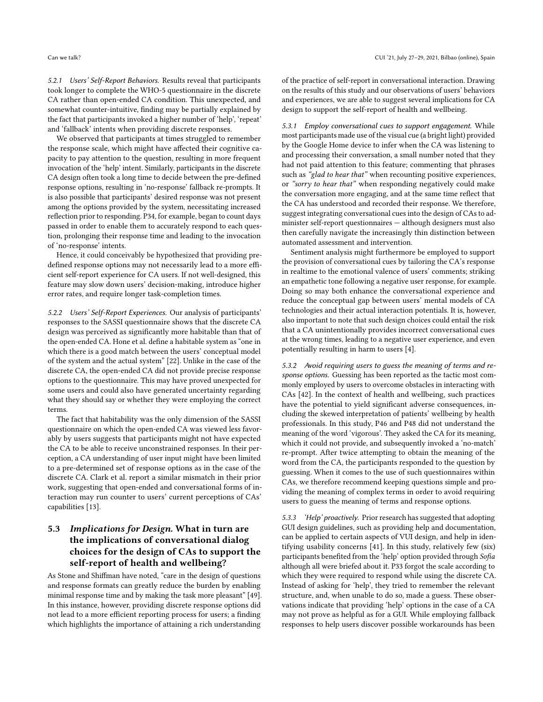5.2.1 Users' Self-Report Behaviors. Results reveal that participants took longer to complete the WHO-5 questionnaire in the discrete CA rather than open-ended CA condition. This unexpected, and somewhat counter-intuitive, finding may be partially explained by the fact that participants invoked a higher number of 'help', 'repeat' and 'fallback' intents when providing discrete responses.

We observed that participants at times struggled to remember the response scale, which might have affected their cognitive capacity to pay attention to the question, resulting in more frequent invocation of the 'help' intent. Similarly, participants in the discrete CA design often took a long time to decide between the pre-defined response options, resulting in 'no-response' fallback re-prompts. It is also possible that participants' desired response was not present among the options provided by the system, necessitating increased reflection prior to responding. P34, for example, began to count days passed in order to enable them to accurately respond to each question, prolonging their response time and leading to the invocation of 'no-response' intents.

Hence, it could conceivably be hypothesized that providing predefined response options may not necessarily lead to a more efficient self-report experience for CA users. If not well-designed, this feature may slow down users' decision-making, introduce higher error rates, and require longer task-completion times.

5.2.2 Users' Self-Report Experiences. Our analysis of participants' responses to the SASSI questionnaire shows that the discrete CA design was perceived as significantly more habitable than that of the open-ended CA. Hone et al. define a habitable system as "one in which there is a good match between the users' conceptual model of the system and the actual system" [\[22\]](#page-11-38). Unlike in the case of the discrete CA, the open-ended CA did not provide precise response options to the questionnaire. This may have proved unexpected for some users and could also have generated uncertainty regarding what they should say or whether they were employing the correct terms.

The fact that habitability was the only dimension of the SASSI questionnaire on which the open-ended CA was viewed less favorably by users suggests that participants might not have expected the CA to be able to receive unconstrained responses. In their perception, a CA understanding of user input might have been limited to a pre-determined set of response options as in the case of the discrete CA. Clark et al. report a similar mismatch in their prior work, suggesting that open-ended and conversational forms of interaction may run counter to users' current perceptions of CAs' capabilities [\[13\]](#page-11-15).

# 5.3 Implications for Design. What in turn are the implications of conversational dialog choices for the design of CAs to support the self-report of health and wellbeing?

As Stone and Shiffman have noted, "care in the design of questions and response formats can greatly reduce the burden by enabling minimal response time and by making the task more pleasant" [\[49\]](#page-11-44). In this instance, however, providing discrete response options did not lead to a more efficient reporting process for users; a finding which highlights the importance of attaining a rich understanding

of the practice of self-report in conversational interaction. Drawing on the results of this study and our observations of users' behaviors and experiences, we are able to suggest several implications for CA design to support the self-report of health and wellbeing.

5.3.1 Employ conversational cues to support engagement. While most participants made use of the visual cue (a bright light) provided by the Google Home device to infer when the CA was listening to and processing their conversation, a small number noted that they had not paid attention to this feature; commenting that phrases such as "glad to hear that" when recounting positive experiences, or "sorry to hear that" when responding negatively could make the conversation more engaging, and at the same time reflect that the CA has understood and recorded their response. We therefore, suggest integrating conversational cues into the design of CAs to administer self-report questionnaires — although designers must also then carefully navigate the increasingly thin distinction between automated assessment and intervention.

Sentiment analysis might furthermore be employed to support the provision of conversational cues by tailoring the CA's response in realtime to the emotional valence of users' comments; striking an empathetic tone following a negative user response, for example. Doing so may both enhance the conversational experience and reduce the conceptual gap between users' mental models of CA technologies and their actual interaction potentials. It is, however, also important to note that such design choices could entail the risk that a CA unintentionally provides incorrect conversational cues at the wrong times, leading to a negative user experience, and even potentially resulting in harm to users [\[4\]](#page-10-6).

5.3.2 Avoid requiring users to guess the meaning of terms and response options. Guessing has been reported as the tactic most commonly employed by users to overcome obstacles in interacting with CAs [\[42\]](#page-11-35). In the context of health and wellbeing, such practices have the potential to yield significant adverse consequences, including the skewed interpretation of patients' wellbeing by health professionals. In this study, P46 and P48 did not understand the meaning of the word 'vigorous'. They asked the CA for its meaning, which it could not provide, and subsequently invoked a 'no-match' re-prompt. After twice attempting to obtain the meaning of the word from the CA, the participants responded to the question by guessing. When it comes to the use of such questionnaires within CAs, we therefore recommend keeping questions simple and providing the meaning of complex terms in order to avoid requiring users to guess the meaning of terms and response options.

5.3.3 'Help' proactively. Prior research has suggested that adopting GUI design guidelines, such as providing help and documentation, can be applied to certain aspects of VUI design, and help in identifying usability concerns [\[41\]](#page-11-19). In this study, relatively few (six) participants benefited from the 'help' option provided through Sofia although all were briefed about it. P33 forgot the scale according to which they were required to respond while using the discrete CA. Instead of asking for 'help', they tried to remember the relevant structure, and, when unable to do so, made a guess. These observations indicate that providing 'help' options in the case of a CA may not prove as helpful as for a GUI. While employing fallback responses to help users discover possible workarounds has been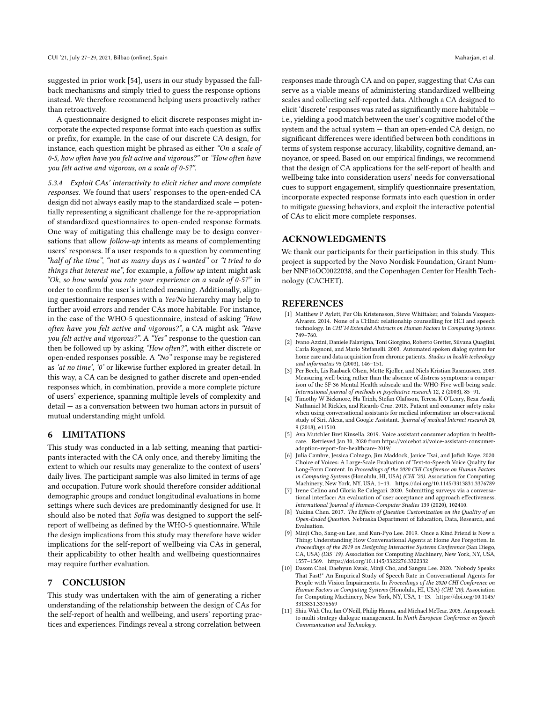suggested in prior work [\[54\]](#page-11-21), users in our study bypassed the fallback mechanisms and simply tried to guess the response options instead. We therefore recommend helping users proactively rather than retroactively.

A questionnaire designed to elicit discrete responses might incorporate the expected response format into each question as suffix or prefix, for example. In the case of our discrete CA design, for instance, each question might be phrased as either "On a scale of 0-5, how often have you felt active and vigorous?" or "How often have you felt active and vigorous, on a scale of 0-5?".

5.3.4 Exploit CAs' interactivity to elicit richer and more complete responses. We found that users' responses to the open-ended CA design did not always easily map to the standardized scale — potentially representing a significant challenge for the re-appropriation of standardized questionnaires to open-ended response formats. One way of mitigating this challenge may be to design conversations that allow *follow-up* intents as means of complementing users' responses. If a user responds to a question by commenting "half of the time", "not as many days as I wanted" or "I tried to do things that interest me", for example, a follow up intent might ask "Ok, so how would you rate your experience on a scale of 0-5?" in order to confirm the user's intended meaning. Additionally, aligning questionnaire responses with a Yes/No hierarchy may help to further avoid errors and render CAs more habitable. For instance, in the case of the WHO-5 questionnaire, instead of asking "How often have you felt active and vigorous?", a CA might ask "Have you felt active and vigorous?". A "Yes" response to the question can then be followed up by asking "How often?", with either discrete or open-ended responses possible. A "No" response may be registered as 'at no time', '0' or likewise further explored in greater detail. In this way, a CA can be designed to gather discrete and open-ended responses which, in combination, provide a more complete picture of users' experience, spanning multiple levels of complexity and detail — as a conversation between two human actors in pursuit of mutual understanding might unfold.

#### 6 LIMITATIONS

This study was conducted in a lab setting, meaning that participants interacted with the CA only once, and thereby limiting the extent to which our results may generalize to the context of users' daily lives. The participant sample was also limited in terms of age and occupation. Future work should therefore consider additional demographic groups and conduct longitudinal evaluations in home settings where such devices are predominantly designed for use. It should also be noted that Sofia was designed to support the selfreport of wellbeing as defined by the WHO-5 questionnaire. While the design implications from this study may therefore have wider implications for the self-report of wellbeing via CAs in general, their applicability to other health and wellbeing questionnaires may require further evaluation.

#### 7 CONCLUSION

This study was undertaken with the aim of generating a richer understanding of the relationship between the design of CAs for the self-report of health and wellbeing, and users' reporting practices and experiences. Findings reveal a strong correlation between

responses made through CA and on paper, suggesting that CAs can serve as a viable means of administering standardized wellbeing scales and collecting self-reported data. Although a CA designed to elicit 'discrete' responses was rated as significantly more habitable i.e., yielding a good match between the user's cognitive model of the system and the actual system — than an open-ended CA design, no significant differences were identified between both conditions in terms of system response accuracy, likability, cognitive demand, annoyance, or speed. Based on our empirical findings, we recommend that the design of CA applications for the self-report of health and wellbeing take into consideration users' needs for conversational cues to support engagement, simplify questionnaire presentation, incorporate expected response formats into each question in order to mitigate guessing behaviors, and exploit the interactive potential of CAs to elicit more complete responses.

## ACKNOWLEDGMENTS

We thank our participants for their participation in this study. This project is supported by the Novo Nordisk Foundation, Grant Number NNF16OC0022038, and the Copenhagen Center for Health Technology (CACHET).

#### **REFERENCES**

- <span id="page-10-8"></span>[1] Matthew P Aylett, Per Ola Kristensson, Steve Whittaker, and Yolanda Vazquez-Alvarez. 2014. None of a CHInd: relationship counselling for HCI and speech technology. In CHI'14 Extended Abstracts on Human Factors in Computing Systems. 749–760.
- <span id="page-10-7"></span>[2] Ivano Azzini, Daniele Falavigna, Toni Giorgino, Roberto Gretter, Silvana Quaglini, Carla Rognoni, and Mario Stefanelli. 2003. Automated spoken dialog system for home care and data acquisition from chronic patients. Studies in health technology and informatics 95 (2003), 146–151.
- <span id="page-10-10"></span>[3] Per Bech, Lis Raabaek Olsen, Mette Kjoller, and Niels Kristian Rasmussen. 2003. Measuring well-being rather than the absence of distress symptoms: a comparison of the SF-36 Mental Health subscale and the WHO-Five well-being scale. International journal of methods in psychiatric research 12, 2 (2003), 85–91.
- <span id="page-10-6"></span>[4] Timothy W Bickmore, Ha Trinh, Stefan Olafsson, Teresa K O'Leary, Reza Asadi, Nathaniel M Rickles, and Ricardo Cruz. 2018. Patient and consumer safety risks when using conversational assistants for medical information: an observational study of Siri, Alexa, and Google Assistant. Journal of medical Internet research 20, 9 (2018), e11510.
- <span id="page-10-1"></span>[5] Ava Mutchler Bret Kinsella. 2019. Voice assistant consumer adoption in healthcare. Retrieved Jan 30, 2020 from [https://voicebot.ai/voice-assistant-consumer](https://voicebot.ai/voice-assistant-consumer-adoption-report-for-healthcare-2019/)[adoption-report-for-healthcare-2019/](https://voicebot.ai/voice-assistant-consumer-adoption-report-for-healthcare-2019/)
- <span id="page-10-3"></span>Julia Cambre, Jessica Colnago, Jim Maddock, Janice Tsai, and Jofish Kaye. 2020. Choice of Voices: A Large-Scale Evaluation of Text-to-Speech Voice Quality for Long-Form Content. In Proceedings of the 2020 CHI Conference on Human Factors in Computing Systems (Honolulu, HI, USA) (CHI '20). Association for Computing Machinery, New York, NY, USA, 1–13.<https://doi.org/10.1145/3313831.3376789>
- <span id="page-10-5"></span>[7] Irene Celino and Gloria Re Calegari. 2020. Submitting surveys via a conversational interface: An evaluation of user acceptance and approach effectiveness. International Journal of Human-Computer Studies 139 (2020), 102410.
- <span id="page-10-0"></span>Yukina Chen. 2017. The Effects of Question Customization on the Quality of an Open-Ended Question. Nebraska Department of Education, Data, Research, and Evaluation.
- <span id="page-10-2"></span>Minji Cho, Sang-su Lee, and Kun-Pyo Lee. 2019. Once a Kind Friend is Now a Thing: Understanding How Conversational Agents at Home Are Forgotten. In Proceedings of the 2019 on Designing Interactive Systems Conference (San Diego, CA, USA) (DIS '19). Association for Computing Machinery, New York, NY, USA, 1557–1569.<https://doi.org/10.1145/3322276.3322332>
- <span id="page-10-4"></span>[10] Dasom Choi, Daehyun Kwak, Minji Cho, and Sangsu Lee. 2020. "Nobody Speaks That Fast!" An Empirical Study of Speech Rate in Conversational Agents for People with Vision Impairments. In Proceedings of the 2020 CHI Conference on Human Factors in Computing Systems (Honolulu, HI, USA) (CHI '20). Association for Computing Machinery, New York, NY, USA, 1–13. [https://doi.org/10.1145/](https://doi.org/10.1145/3313831.3376569) [3313831.3376569](https://doi.org/10.1145/3313831.3376569)
- <span id="page-10-9"></span>[11] Shiu-Wah Chu, Ian O'Neill, Philip Hanna, and Michael McTear. 2005. An approach to multi-strategy dialogue management. In Ninth European Conference on Speech Communication and Technology.